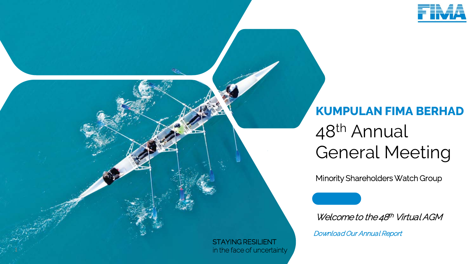

# 48th Annual General Meeting **KUMPULAN FIMA BERHAD**

Minority Shareholders Watch Group

Welcome to the 48<sup>th</sup> Virtual AGM

Download Our Annual Report

STAYING RESILIENT in the face of uncertainty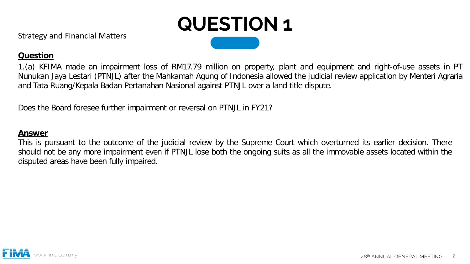

# **Question**

1.(a) KFIMA made an impairment loss of RM17.79 million on property, plant and equipment and right-of-use assets in PT Nunukan Jaya Lestari (PTNJL) after the Mahkamah Agung of Indonesia allowed the judicial review application by Menteri Agraria and Tata Ruang/Kepala Badan Pertanahan Nasional against PTNJL over a land title dispute.

Does the Board foresee further impairment or reversal on PTNJL in FY21?

#### **Answer**

This is pursuant to the outcome of the judicial review by the Supreme Court which overturned its earlier decision. There should not be any more impairment even if PTNJL lose both the ongoing suits as all the immovable assets located within the disputed areas have been fully impaired.

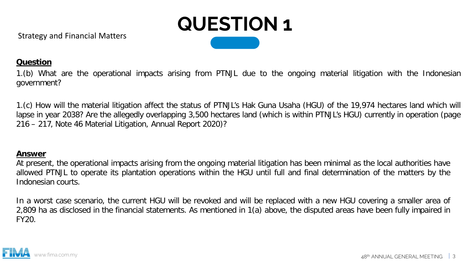

# **Question**

1.(b) What are the operational impacts arising from PTNJL due to the ongoing material litigation with the Indonesian government?

1.(c) How will the material litigation affect the status of PTNJL's Hak Guna Usaha (HGU) of the 19,974 hectares land which will lapse in year 2038? Are the allegedly overlapping 3,500 hectares land (which is within PTNJL's HGU) currently in operation (page 216 – 217, Note 46 Material Litigation, Annual Report 2020)?

### **Answer**

At present, the operational impacts arising from the ongoing material litigation has been minimal as the local authorities have allowed PTNJL to operate its plantation operations within the HGU until full and final determination of the matters by the Indonesian courts.

In a worst case scenario, the current HGU will be revoked and will be replaced with a new HGU covering a smaller area of 2,809 ha as disclosed in the financial statements. As mentioned in 1(a) above, the disputed areas have been fully impaired in FY20.

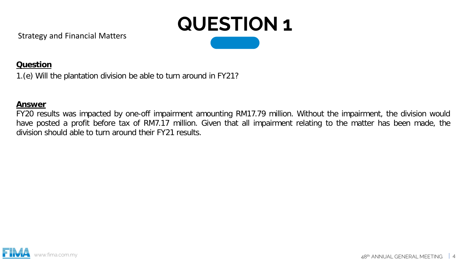

# **Question**

1.(e) Will the plantation division be able to turn around in FY21?

#### **Answer**

FY20 results was impacted by one-off impairment amounting RM17.79 million. Without the impairment, the division would have posted a profit before tax of RM7.17 million. Given that all impairment relating to the matter has been made, the division should able to turn around their FY21 results.

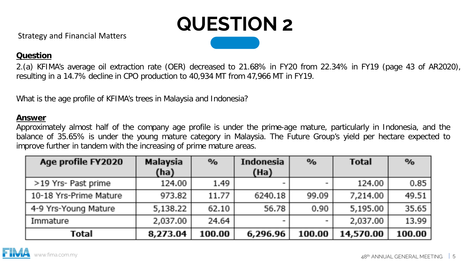

# **Question**

2.(a) KFIMA's average oil extraction rate (OER) decreased to 21.68% in FY20 from 22.34% in FY19 (page 43 of AR2020), resulting in a 14.7% decline in CPO production to 40,934 MT from 47,966 MT in FY19.

What is the age profile of KFIMA's trees in Malaysia and Indonesia?

#### **Answer**

Approximately almost half of the company age profile is under the prime-age mature, particularly in Indonesia, and the balance of 35.65% is under the young mature category in Malaysia. The Future Group's yield per hectare expected to improve further in tandem with the increasing of prime mature areas.

| Age profile FY2020     | Malaysia<br>(ha) | $\mathcal{D}_{\mathbf{0}}$ | Indonesia<br>(Ha) | $\frac{1}{2}$ | <b>Total</b> | $\mathcal{D}_{\mathbf{0}}$ |
|------------------------|------------------|----------------------------|-------------------|---------------|--------------|----------------------------|
| >19 Yrs- Past prime    | 124.00           | 1.49                       |                   |               | 124.00       | 0.85                       |
| 10-18 Yrs-Prime Mature | 973.82           | 11.77                      | 6240.18           | 99.09         | 7,214.00     | 49.51                      |
| 4-9 Yrs-Young Mature   | 5,138.22         | 62.10                      | 56.78             | 0.90          | 5,195.00     | 35.65                      |
| Immature               | 2,037.00         | 24.64                      |                   |               | 2,037.00     | 13.99                      |
| Total                  | 8,273.04         | 100.00                     | 6,296.96          | 100.00        | 14,570.00    | 100.00                     |

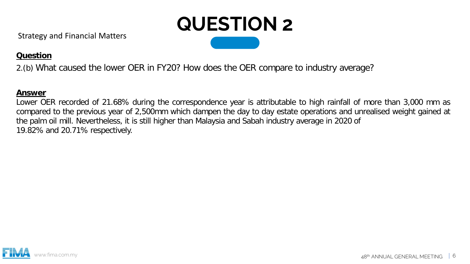

# **Question**

2.(b) What caused the lower OER in FY20? How does the OER compare to industry average?

## **Answer**

Lower OER recorded of 21.68% during the correspondence year is attributable to high rainfall of more than 3,000 mm as compared to the previous year of 2,500mm which dampen the day to day estate operations and unrealised weight gained at the palm oil mill. Nevertheless, it is still higher than Malaysia and Sabah industry average in 2020 of 19.82% and 20.71% respectively.

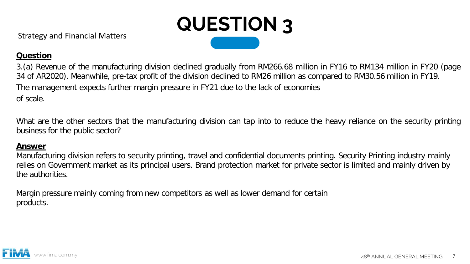

3.(a) Revenue of the manufacturing division declined gradually from RM266.68 million in FY16 to RM134 million in FY20 (page 34 of AR2020). Meanwhile, pre-tax profit of the division declined to RM26 million as compared to RM30.56 million in FY19. The management expects further margin pressure in FY21 due to the lack of economies of scale.

What are the other sectors that the manufacturing division can tap into to reduce the heavy reliance on the security printing business for the public sector?

#### **Answer**

Manufacturing division refers to security printing, travel and confidential documents printing. Security Printing industry mainly relies on Government market as its principal users. Brand protection market for private sector is limited and mainly driven by the authorities.

Margin pressure mainly coming from new competitors as well as lower demand for certain products.

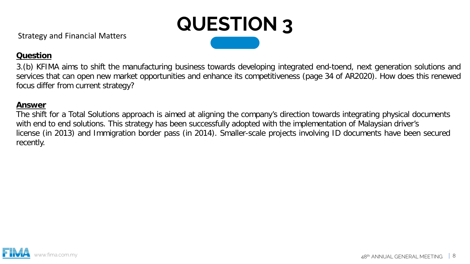

3.(b) KFIMA aims to shift the manufacturing business towards developing integrated end-toend, next generation solutions and services that can open new market opportunities and enhance its competitiveness (page 34 of AR2020). How does this renewed focus differ from current strategy?

### **Answer**

The shift for a Total Solutions approach is aimed at aligning the company's direction towards integrating physical documents with end to end solutions. This strategy has been successfully adopted with the implementation of Malaysian driver's license (in 2013) and Immigration border pass (in 2014). Smaller-scale projects involving ID documents have been secured recently.

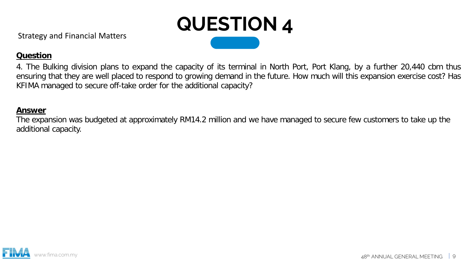

4. The Bulking division plans to expand the capacity of its terminal in North Port, Port Klang, by a further 20,440 cbm thus ensuring that they are well placed to respond to growing demand in the future. How much will this expansion exercise cost? Has KFIMA managed to secure off-take order for the additional capacity?

#### **Answer**

The expansion was budgeted at approximately RM14.2 million and we have managed to secure few customers to take up the additional capacity.

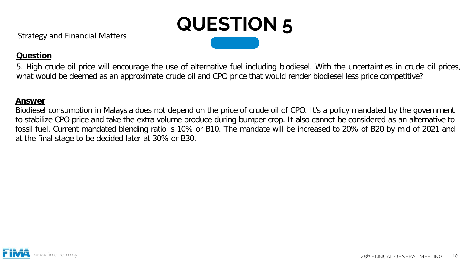

5. High crude oil price will encourage the use of alternative fuel including biodiesel. With the uncertainties in crude oil prices, what would be deemed as an approximate crude oil and CPO price that would render biodiesel less price competitive?

### **Answer**

Biodiesel consumption in Malaysia does not depend on the price of crude oil of CPO. It's a policy mandated by the government to stabilize CPO price and take the extra volume produce during bumper crop. It also cannot be considered as an alternative to fossil fuel. Current mandated blending ratio is 10% or B10. The mandate will be increased to 20% of B20 by mid of 2021 and at the final stage to be decided later at 30% or B30.

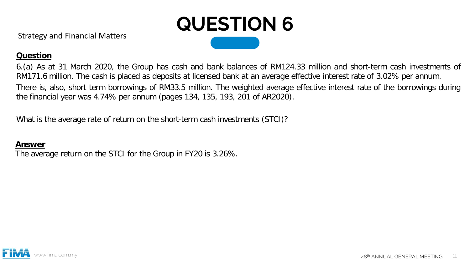

## **Question**

6.(a) As at 31 March 2020, the Group has cash and bank balances of RM124.33 million and short-term cash investments of RM171.6 million. The cash is placed as deposits at licensed bank at an average effective interest rate of 3.02% per annum. There is, also, short term borrowings of RM33.5 million. The weighted average effective interest rate of the borrowings during the financial year was 4.74% per annum (pages 134, 135, 193, 201 of AR2020).

What is the average rate of return on the short-term cash investments (STCI)?

#### **Answer**

The average return on the STCI for the Group in FY20 is 3.26%.

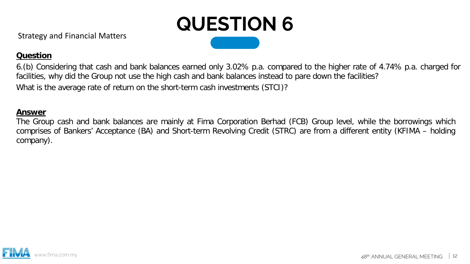

## **Question**

6.(b) Considering that cash and bank balances earned only 3.02% p.a. compared to the higher rate of 4.74% p.a. charged for facilities, why did the Group not use the high cash and bank balances instead to pare down the facilities? What is the average rate of return on the short-term cash investments (STCI)?

#### **Answer**

The Group cash and bank balances are mainly at Fima Corporation Berhad (FCB) Group level, while the borrowings which comprises of Bankers' Acceptance (BA) and Short-term Revolving Credit (STRC) are from a different entity (KFIMA – holding company).

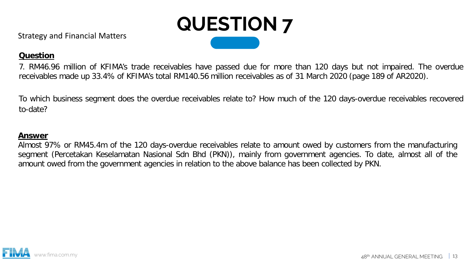

7. RM46.96 million of KFIMA's trade receivables have passed due for more than 120 days but not impaired. The overdue receivables made up 33.4% of KFIMA's total RM140.56 million receivables as of 31 March 2020 (page 189 of AR2020).

To which business segment does the overdue receivables relate to? How much of the 120 days-overdue receivables recovered to-date?

## **Answer**

Almost 97% or RM45.4m of the 120 days-overdue receivables relate to amount owed by customers from the manufacturing segment (Percetakan Keselamatan Nasional Sdn Bhd (PKN)), mainly from government agencies. To date, almost all of the amount owed from the government agencies in relation to the above balance has been collected by PKN.

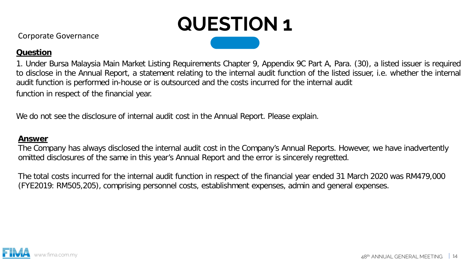

Corporate Governance

## **Question**

1. Under Bursa Malaysia Main Market Listing Requirements Chapter 9, Appendix 9C Part A, Para. (30), a listed issuer is required to disclose in the Annual Report, a statement relating to the internal audit function of the listed issuer, i.e. whether the internal audit function is performed in-house or is outsourced and the costs incurred for the internal audit function in respect of the financial year.

We do not see the disclosure of internal audit cost in the Annual Report. Please explain.

#### **Answer**

The Company has always disclosed the internal audit cost in the Company's Annual Reports. However, we have inadvertently omitted disclosures of the same in this year's Annual Report and the error is sincerely regretted.

The total costs incurred for the internal audit function in respect of the financial year ended 31 March 2020 was RM479,000 (FYE2019: RM505,205), comprising personnel costs, establishment expenses, admin and general expenses.